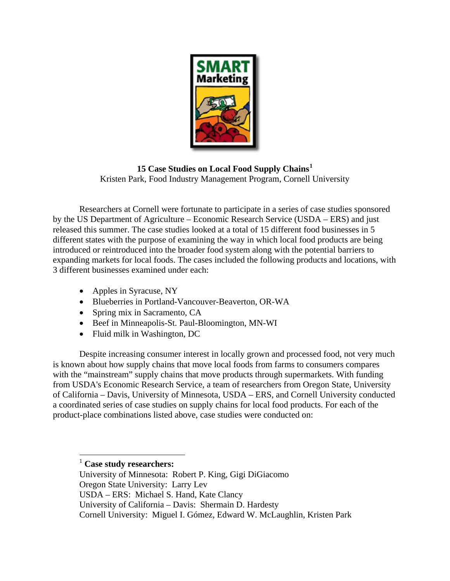

**15 Case Studies on Local Food Supply Chains[1](#page-0-0)** Kristen Park, Food Industry Management Program, Cornell University

Researchers at Cornell were fortunate to participate in a series of case studies sponsored by the US Department of Agriculture – Economic Research Service (USDA – ERS) and just released this summer. The case studies looked at a total of 15 different food businesses in 5 different states with the purpose of examining the way in which local food products are being introduced or reintroduced into the broader food system along with the potential barriers to expanding markets for local foods. The cases included the following products and locations, with 3 different businesses examined under each:

- Apples in Syracuse, NY
- Blueberries in Portland-Vancouver-Beaverton, OR-WA
- Spring mix in Sacramento, CA
- Beef in Minneapolis-St. Paul-Bloomington, MN-WI
- Fluid milk in Washington, DC

Despite increasing consumer interest in locally grown and processed food, not very much is known about how supply chains that move local foods from farms to consumers compares with the "mainstream" supply chains that move products through supermarkets. With funding from USDA's Economic Research Service, a team of researchers from Oregon State, University of California – Davis, University of Minnesota, USDA – ERS, and Cornell University conducted a coordinated series of case studies on supply chains for local food products. For each of the product-place combinations listed above, case studies were conducted on:

<span id="page-0-0"></span><sup>1</sup> **Case study researchers:** 

 $\overline{a}$ 

University of Minnesota: Robert P. King, Gigi DiGiacomo Oregon State University: Larry Lev USDA – ERS: Michael S. Hand, Kate Clancy University of California – Davis: Shermain D. Hardesty Cornell University: Miguel I. Gómez, Edward W. McLaughlin, Kristen Park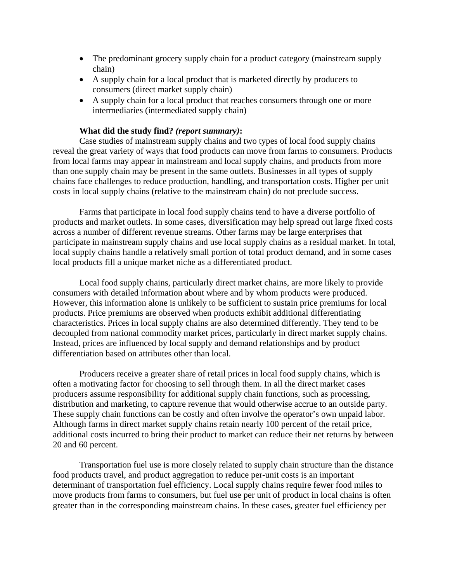- The predominant grocery supply chain for a product category (mainstream supply chain)
- A supply chain for a local product that is marketed directly by producers to consumers (direct market supply chain)
- A supply chain for a local product that reaches consumers through one or more intermediaries (intermediated supply chain)

## **What did the study find?** *(report summary)***:**

Case studies of mainstream supply chains and two types of local food supply chains reveal the great variety of ways that food products can move from farms to consumers. Products from local farms may appear in mainstream and local supply chains, and products from more than one supply chain may be present in the same outlets. Businesses in all types of supply chains face challenges to reduce production, handling, and transportation costs. Higher per unit costs in local supply chains (relative to the mainstream chain) do not preclude success.

Farms that participate in local food supply chains tend to have a diverse portfolio of products and market outlets. In some cases, diversification may help spread out large fixed costs across a number of different revenue streams. Other farms may be large enterprises that participate in mainstream supply chains and use local supply chains as a residual market. In total, local supply chains handle a relatively small portion of total product demand, and in some cases local products fill a unique market niche as a differentiated product.

Local food supply chains, particularly direct market chains, are more likely to provide consumers with detailed information about where and by whom products were produced. However, this information alone is unlikely to be sufficient to sustain price premiums for local products. Price premiums are observed when products exhibit additional differentiating characteristics. Prices in local supply chains are also determined differently. They tend to be decoupled from national commodity market prices, particularly in direct market supply chains. Instead, prices are influenced by local supply and demand relationships and by product differentiation based on attributes other than local.

Producers receive a greater share of retail prices in local food supply chains, which is often a motivating factor for choosing to sell through them. In all the direct market cases producers assume responsibility for additional supply chain functions, such as processing, distribution and marketing, to capture revenue that would otherwise accrue to an outside party. These supply chain functions can be costly and often involve the operator's own unpaid labor. Although farms in direct market supply chains retain nearly 100 percent of the retail price, additional costs incurred to bring their product to market can reduce their net returns by between 20 and 60 percent.

Transportation fuel use is more closely related to supply chain structure than the distance food products travel, and product aggregation to reduce per-unit costs is an important determinant of transportation fuel efficiency. Local supply chains require fewer food miles to move products from farms to consumers, but fuel use per unit of product in local chains is often greater than in the corresponding mainstream chains. In these cases, greater fuel efficiency per